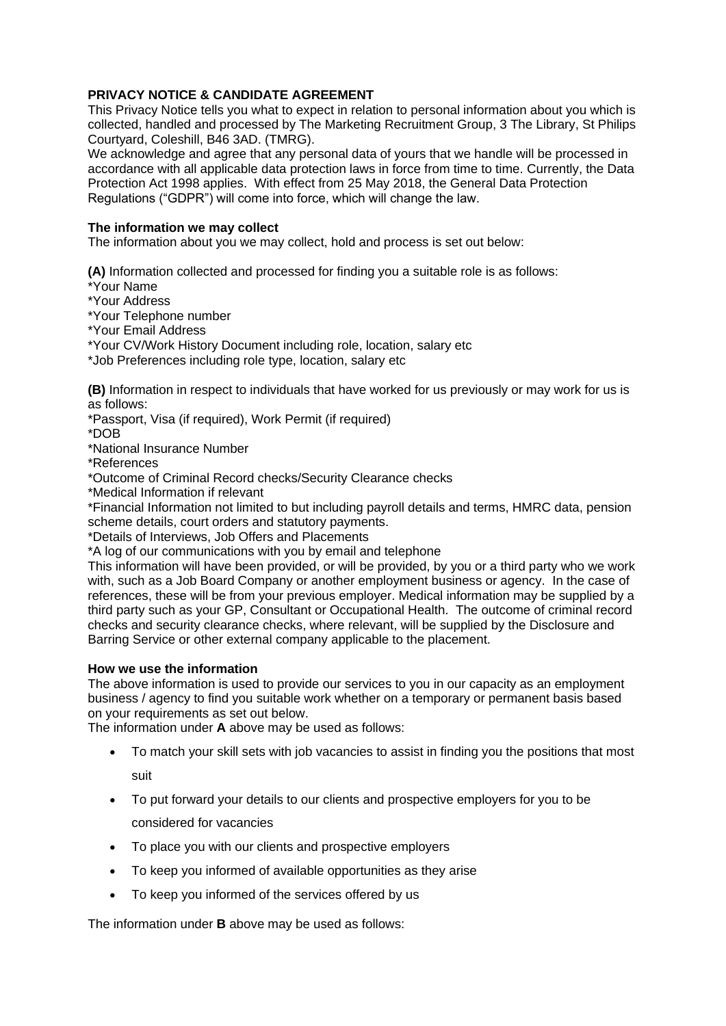# **PRIVACY NOTICE & CANDIDATE AGREEMENT**

This Privacy Notice tells you what to expect in relation to personal information about you which is collected, handled and processed by The Marketing Recruitment Group, 3 The Library, St Philips Courtyard, Coleshill, B46 3AD. (TMRG).

We acknowledge and agree that any personal data of yours that we handle will be processed in accordance with all applicable data protection laws in force from time to time. Currently, the Data Protection Act 1998 applies. With effect from 25 May 2018, the General Data Protection Regulations ("GDPR") will come into force, which will change the law.

#### **The information we may collect**

The information about you we may collect, hold and process is set out below:

**(A)** Information collected and processed for finding you a suitable role is as follows:

\*Your Name

\*Your Address

\*Your Telephone number

\*Your Email Address

\*Your CV/Work History Document including role, location, salary etc

\*Job Preferences including role type, location, salary etc

**(B)** Information in respect to individuals that have worked for us previously or may work for us is as follows:

\*Passport, Visa (if required), Work Permit (if required)

\*DOB

\*National Insurance Number

\*References

\*Outcome of Criminal Record checks/Security Clearance checks

\*Medical Information if relevant

\*Financial Information not limited to but including payroll details and terms, HMRC data, pension scheme details, court orders and statutory payments.

\*Details of Interviews, Job Offers and Placements

\*A log of our communications with you by email and telephone

This information will have been provided, or will be provided, by you or a third party who we work with, such as a Job Board Company or another employment business or agency. In the case of references, these will be from your previous employer. Medical information may be supplied by a third party such as your GP, Consultant or Occupational Health. The outcome of criminal record checks and security clearance checks, where relevant, will be supplied by the Disclosure and Barring Service or other external company applicable to the placement.

#### **How we use the information**

The above information is used to provide our services to you in our capacity as an employment business / agency to find you suitable work whether on a temporary or permanent basis based on your requirements as set out below.

The information under **A** above may be used as follows:

- To match your skill sets with job vacancies to assist in finding you the positions that most suit
- To put forward your details to our clients and prospective employers for you to be considered for vacancies
- To place you with our clients and prospective employers
- To keep you informed of available opportunities as they arise
- To keep you informed of the services offered by us

The information under **B** above may be used as follows: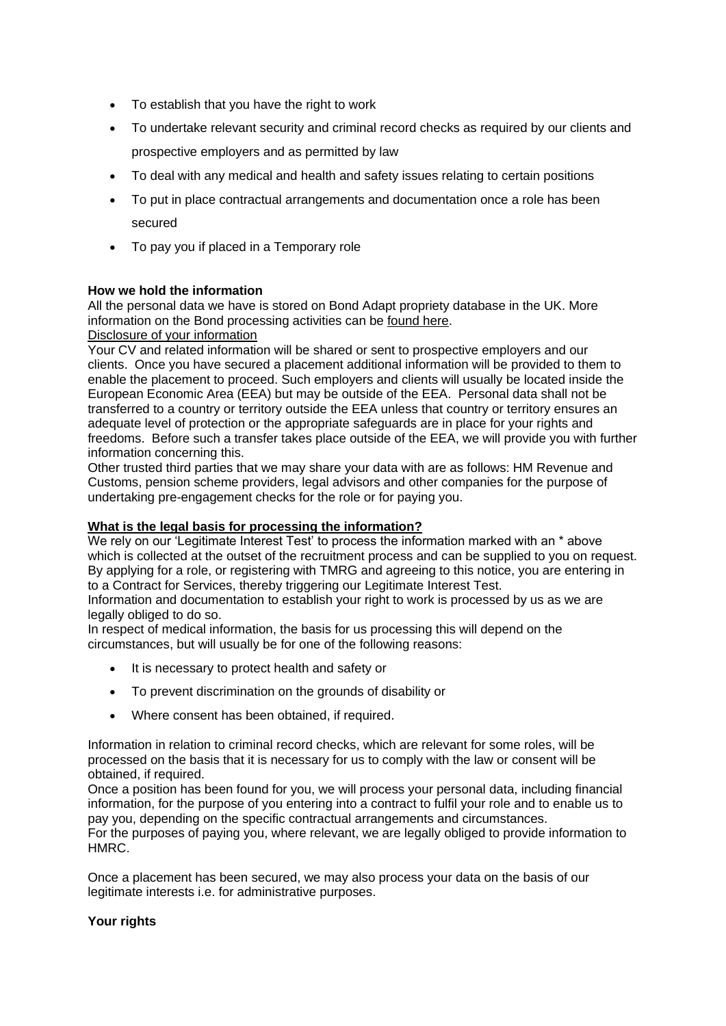- To establish that you have the right to work
- To undertake relevant security and criminal record checks as required by our clients and prospective employers and as permitted by law
- To deal with any medical and health and safety issues relating to certain positions
- To put in place contractual arrangements and documentation once a role has been secured
- To pay you if placed in a Temporary role

# **How we hold the information**

All the personal data we have is stored on Bond Adapt propriety database in the UK. More information on the Bond processing activities can be [found](http://files.clickdimensions.com/erecruitcom-a1zj3/files/adaptgdprprocessenhancements.pdf?_cldee=YW5keUB0bXJncm91cC5jby51aw%7b1597936798b62daa3890d68a9cc8469a6ca8b1d53d28c0d57f6fa4a333280cfa%7d3d%7b1597936798b62daa3890d68a9cc8469a6ca8b1d53d28c0d57f6fa4a333280cfa%7d3d&recipientid=contact-02a257c75959e6118172005056884ea4-055e688ac49a4857ad85edd4f22b5393&esid=908477bb-303f-e811-81e7-005056884ea4&urlid=1) here.

# Disclosure of your information

Your CV and related information will be shared or sent to prospective employers and our clients. Once you have secured a placement additional information will be provided to them to enable the placement to proceed. Such employers and clients will usually be located inside the European Economic Area (EEA) but may be outside of the EEA. Personal data shall not be transferred to a country or territory outside the EEA unless that country or territory ensures an adequate level of protection or the appropriate safeguards are in place for your rights and freedoms. Before such a transfer takes place outside of the EEA, we will provide you with further information concerning this.

Other trusted third parties that we may share your data with are as follows: HM Revenue and Customs, pension scheme providers, legal advisors and other companies for the purpose of undertaking pre-engagement checks for the role or for paying you.

## **What is the legal basis for processing the information?**

We rely on our 'Legitimate Interest Test' to process the information marked with an \* above which is collected at the outset of the recruitment process and can be supplied to you on request. By applying for a role, or registering with TMRG and agreeing to this notice, you are entering in to a Contract for Services, thereby triggering our Legitimate Interest Test.

Information and documentation to establish your right to work is processed by us as we are legally obliged to do so.

In respect of medical information, the basis for us processing this will depend on the circumstances, but will usually be for one of the following reasons:

- It is necessary to protect health and safety or
- To prevent discrimination on the grounds of disability or
- Where consent has been obtained, if required.

Information in relation to criminal record checks, which are relevant for some roles, will be processed on the basis that it is necessary for us to comply with the law or consent will be obtained, if required.

Once a position has been found for you, we will process your personal data, including financial information, for the purpose of you entering into a contract to fulfil your role and to enable us to pay you, depending on the specific contractual arrangements and circumstances.

For the purposes of paying you, where relevant, we are legally obliged to provide information to HMRC.

Once a placement has been secured, we may also process your data on the basis of our legitimate interests i.e. for administrative purposes.

## **Your rights**